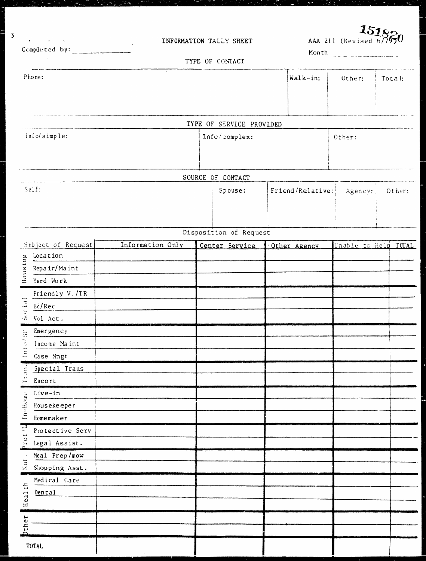| $\sigma$ , and $\sigma$ , and $\sigma$ , and $\sigma$ , and $\sigma$ |                  | INFORMATION TALLY SHEET  |                  | AAA 211 (Revised 6/7974) | 15182                |
|----------------------------------------------------------------------|------------------|--------------------------|------------------|--------------------------|----------------------|
| Completed by:                                                        |                  | TYPE OF CONTACT          |                  | Month                    |                      |
|                                                                      |                  |                          |                  |                          |                      |
| Phone:                                                               |                  |                          | Walk-in:         | Other:                   | Total:               |
|                                                                      |                  |                          |                  |                          |                      |
|                                                                      |                  |                          |                  |                          |                      |
|                                                                      |                  | TYPE OF SERVICE PROVIDED |                  |                          |                      |
| info/simple:                                                         |                  | Info/complex:            |                  | Other:                   |                      |
|                                                                      |                  |                          |                  |                          |                      |
|                                                                      |                  |                          |                  |                          |                      |
|                                                                      |                  | SOURCE OF CONTACT        |                  |                          |                      |
| Self:                                                                |                  | Spouse:                  | Friend/Relative: | Agency:                  | Other:               |
|                                                                      |                  |                          |                  |                          |                      |
|                                                                      |                  |                          |                  |                          |                      |
|                                                                      |                  | Disposition of Request   |                  |                          |                      |
| Subject of Request                                                   | Information Only | Centar Service           | Other Agency     |                          | Unable to Help TOTAL |
| Location                                                             |                  |                          |                  |                          |                      |
| Housing<br>Repair/Maint                                              |                  |                          |                  |                          |                      |
| Yard Work                                                            |                  |                          |                  |                          |                      |
| Friendly V./TR                                                       |                  |                          |                  |                          |                      |
|                                                                      |                  |                          |                  |                          |                      |
|                                                                      |                  |                          |                  |                          |                      |
| Emergency<br>믔                                                       |                  |                          |                  |                          |                      |
| $\geq$ Income Maint                                                  |                  |                          |                  |                          |                      |
| $\tilde{=}$<br>Case Mngt                                             |                  |                          |                  |                          |                      |
| $\frac{1}{2}$<br>Special Trans                                       |                  |                          |                  |                          |                      |
| È<br>Escort                                                          |                  |                          |                  |                          |                      |
| Live-in                                                              |                  |                          |                  |                          |                      |
| $In-Home$<br>Housekeeper                                             |                  |                          |                  |                          |                      |
| Homemaker                                                            |                  |                          |                  |                          |                      |
| Prot <sup>71</sup><br>Protective Serv                                |                  |                          |                  |                          |                      |
| Legal Assist.                                                        |                  |                          |                  |                          |                      |
| Meal Prep/mow<br>Nut.                                                |                  |                          |                  |                          |                      |
| Shopping Asst.                                                       |                  |                          |                  |                          |                      |
| Medical Care                                                         |                  |                          |                  |                          |                      |
| Health<br>Dental                                                     |                  |                          |                  |                          |                      |
|                                                                      |                  |                          |                  |                          |                      |
| <b>Other</b>                                                         |                  |                          |                  |                          |                      |
|                                                                      |                  |                          |                  |                          |                      |
| <b>TOTAL</b>                                                         |                  |                          |                  |                          |                      |

 $\overline{\mathbf{3}}$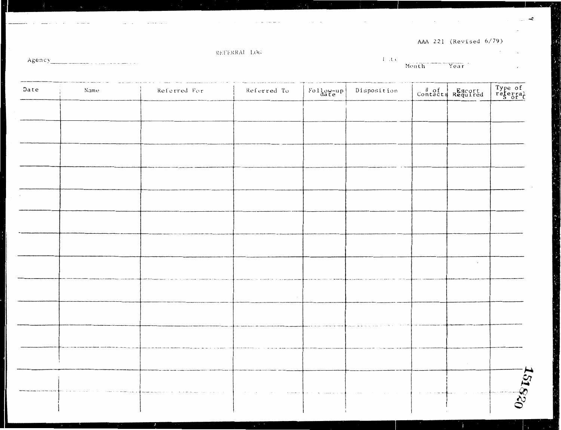AAA 221 (Revised 6/79)

 $\ddot{\phantom{0}}$ 

 $\downarrow$ 

REFERRAL LOG

Agency\_  $\sim$  ...

 $\ddot{\phantom{0}}$ 

#### $\overline{Year}$  . Month

 $\left( 1 \right)$  ,<br>the

 $\sim$ 

| Name | Referred For | Referred To | $F_{\text{old}} = \frac{1}{10}$ | Disposition |            | Type of<br>referral |
|------|--------------|-------------|---------------------------------|-------------|------------|---------------------|
|      |              |             |                                 |             |            |                     |
|      |              |             |                                 |             |            |                     |
|      |              |             |                                 |             |            |                     |
|      |              |             |                                 |             |            |                     |
|      |              |             |                                 |             |            |                     |
|      |              |             |                                 |             |            |                     |
|      |              |             |                                 |             |            |                     |
|      |              |             |                                 |             |            |                     |
|      |              |             |                                 |             |            |                     |
|      |              |             |                                 |             | $\epsilon$ |                     |
|      |              |             |                                 |             |            |                     |
|      |              |             |                                 |             |            |                     |
|      |              |             |                                 |             |            |                     |
|      |              |             |                                 |             |            |                     |
|      |              |             |                                 |             |            |                     |
|      |              |             |                                 |             |            |                     |
|      |              |             |                                 |             |            | $\frac{15}{15260}$  |
|      |              |             |                                 |             |            |                     |
|      |              |             |                                 |             |            |                     |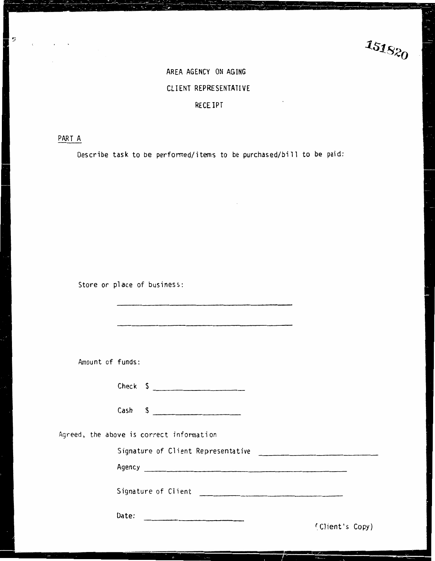$151820$ 

# AREA AGENCY ON AGING CLIENT REPRESENTATIVE

### RECEIPT

PART A

ÿ Ь

Describe task to be perfonned/items to be purchased/bill to be paid:

Store or place of business:

| Amount of funds:                                                                                                                                                                                                               |                 |
|--------------------------------------------------------------------------------------------------------------------------------------------------------------------------------------------------------------------------------|-----------------|
| Check $\frac{2}{3}$                                                                                                                                                                                                            |                 |
| Cash  \$                                                                                                                                                                                                                       |                 |
| Agreed, the above is correct information                                                                                                                                                                                       |                 |
| Signature of Client Representative                                                                                                                                                                                             |                 |
|                                                                                                                                                                                                                                |                 |
| Signature of Client [1994] [1994] [1994] [1994] [1994] [1994] [1994] [1994] [1994] [1994] [1994] [1994] [1994] [1994] [1994] [1994] [1994] [1994] [1994] [1994] [1994] [1994] [1994] [1994] [1994] [1994] [1994] [1994] [1994] |                 |
| Date:                                                                                                                                                                                                                          | (Client's Copy) |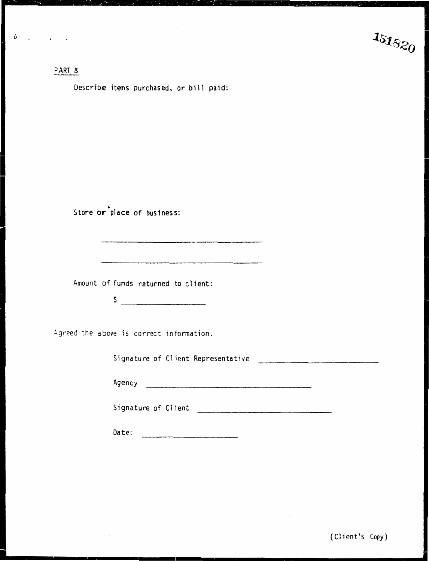### ?ART B

■

Describe items purchased, or bill paid:

Store or place of business:

Amount of funds returned to client:

 $\sim$ 

Agreed the above is correct information.

Signature of Client Representative

Agency

Signature of Client

ing di pangangan di kacamatan sebagai kepada tahun 1980. Pada tahun 1980 dan kalimatan sebagai kepada tahun 19<br>Ing pangangan di kacamatan sebagai kepada tahun 1980 dan mengentuk berasal di kacamatan di kacamatan di kacama

Date: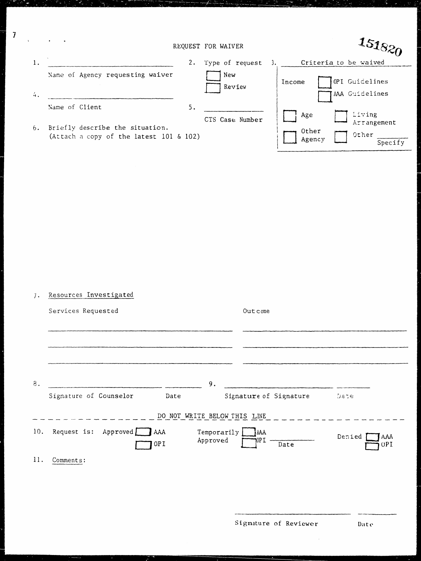|    |                                                                            | REQUEST FOR WAIVER |                                                                     |
|----|----------------------------------------------------------------------------|--------------------|---------------------------------------------------------------------|
| 1. | 2.                                                                         | Type of request    | Criteria to be waived                                               |
| 4. | Name of Agency requesting waiver                                           | New<br>Review      | OPI Guidelines<br>Income<br>AAA Guidelines                          |
|    | 5.<br>Name of Client                                                       |                    |                                                                     |
| 6. | Briefly describe the situation.<br>(Attach a copy of the latest 101 & 102) | CTS Case Number    | Living<br>Age<br>Arrangement<br>Other<br>Other<br>Agency<br>Specify |

 $\overline{7}$ 

| 7.  | Resources Investigated                                             |                               |                             |
|-----|--------------------------------------------------------------------|-------------------------------|-----------------------------|
|     | Services Requested                                                 | Outcome                       |                             |
|     |                                                                    |                               |                             |
| 8.  | 9.                                                                 |                               |                             |
|     | Signature of Counselor<br>Date                                     | Signature of Signature        | Date                        |
|     | DO NOT WRITE BELOW THIS LINE                                       |                               |                             |
| 10. | Request is: Approved $\Box$ AAA<br>Temporarily<br>Approved<br>OP I | $\bigcap$ AAA<br> OPI<br>Date | Denied<br>AAA<br><b>OPI</b> |
| 11. | Comments:                                                          |                               |                             |

 $\bar{z}$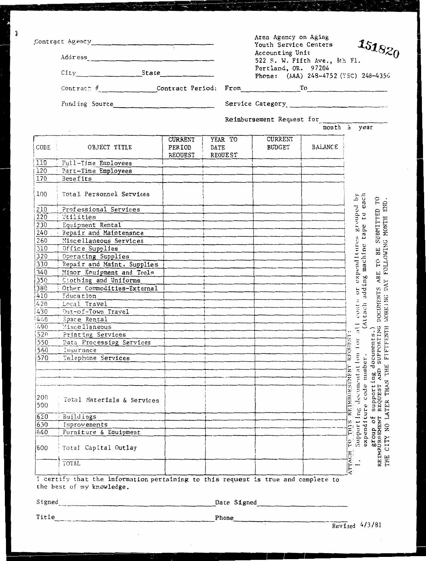|            | Contract Agency<br>City State State                                                                            |                                     |      |                    |                                                                                                                                                                                                                                       | Area Agency on Aging<br>151820<br>Youth Service Centers<br>Accounting Unit<br>522 S. W. Fifth Ave., 8th Fl.<br>Portland, OR. 97204<br>Phone: (AAA) 248-4752 (TSC) 248-4356 |                                                                                                                                                                                                    |  |
|------------|----------------------------------------------------------------------------------------------------------------|-------------------------------------|------|--------------------|---------------------------------------------------------------------------------------------------------------------------------------------------------------------------------------------------------------------------------------|----------------------------------------------------------------------------------------------------------------------------------------------------------------------------|----------------------------------------------------------------------------------------------------------------------------------------------------------------------------------------------------|--|
|            |                                                                                                                |                                     |      |                    |                                                                                                                                                                                                                                       |                                                                                                                                                                            |                                                                                                                                                                                                    |  |
|            | Funding Source                                                                                                 |                                     |      |                    | Service Category<br><u>Letter</u> states and the contract of the contract of the contract of the contract of the contract of the contract of the contract of the contract of the contract of the contract of the contract of the cont |                                                                                                                                                                            |                                                                                                                                                                                                    |  |
|            |                                                                                                                |                                     |      |                    | Reimbursement Request for                                                                                                                                                                                                             |                                                                                                                                                                            |                                                                                                                                                                                                    |  |
|            |                                                                                                                |                                     |      |                    |                                                                                                                                                                                                                                       |                                                                                                                                                                            | month i year                                                                                                                                                                                       |  |
| CODE       | OBJECT TITLE                                                                                                   | <b>CURRENT</b><br>PERIOD<br>REQUEST | DATE | YEAR TO<br>REQUEST | CURRENT<br>BUDGET                                                                                                                                                                                                                     | <b>BALANCE</b>                                                                                                                                                             |                                                                                                                                                                                                    |  |
| 110        | Full-Time Employees                                                                                            |                                     |      |                    |                                                                                                                                                                                                                                       |                                                                                                                                                                            |                                                                                                                                                                                                    |  |
| 120        | Part-Time Employees                                                                                            |                                     |      |                    |                                                                                                                                                                                                                                       |                                                                                                                                                                            |                                                                                                                                                                                                    |  |
| 170        | <b>Benefits</b>                                                                                                |                                     |      |                    |                                                                                                                                                                                                                                       |                                                                                                                                                                            |                                                                                                                                                                                                    |  |
| 100        | Total Personnel Services                                                                                       |                                     |      |                    |                                                                                                                                                                                                                                       |                                                                                                                                                                            | all costs or expenditures grouped by<br>(Attach adding machine tape to each                                                                                                                        |  |
| 210        | Professional Services                                                                                          |                                     |      |                    |                                                                                                                                                                                                                                       |                                                                                                                                                                            |                                                                                                                                                                                                    |  |
| 220        | Utilities                                                                                                      |                                     |      |                    |                                                                                                                                                                                                                                       |                                                                                                                                                                            |                                                                                                                                                                                                    |  |
| 230        | Equipment Rental                                                                                               |                                     |      |                    |                                                                                                                                                                                                                                       |                                                                                                                                                                            |                                                                                                                                                                                                    |  |
| 240        | Repair and Maintenance                                                                                         |                                     |      |                    |                                                                                                                                                                                                                                       |                                                                                                                                                                            |                                                                                                                                                                                                    |  |
| 260        | Miscellaneous Services                                                                                         |                                     |      |                    |                                                                                                                                                                                                                                       |                                                                                                                                                                            |                                                                                                                                                                                                    |  |
| 310        | Office Supplies                                                                                                |                                     |      |                    |                                                                                                                                                                                                                                       |                                                                                                                                                                            |                                                                                                                                                                                                    |  |
| 320        | Operating Supplies                                                                                             |                                     |      |                    |                                                                                                                                                                                                                                       |                                                                                                                                                                            |                                                                                                                                                                                                    |  |
| 330        | Repair and Maint. Supplies                                                                                     |                                     |      |                    |                                                                                                                                                                                                                                       |                                                                                                                                                                            |                                                                                                                                                                                                    |  |
| 340        | Minor Equipment and Tools                                                                                      |                                     |      |                    |                                                                                                                                                                                                                                       |                                                                                                                                                                            |                                                                                                                                                                                                    |  |
| 350        | Ciothing and Uniforms                                                                                          |                                     |      |                    |                                                                                                                                                                                                                                       |                                                                                                                                                                            |                                                                                                                                                                                                    |  |
| 380        | Other Commodities-External                                                                                     |                                     |      |                    |                                                                                                                                                                                                                                       |                                                                                                                                                                            |                                                                                                                                                                                                    |  |
| 410        | Education                                                                                                      |                                     |      |                    |                                                                                                                                                                                                                                       |                                                                                                                                                                            |                                                                                                                                                                                                    |  |
| 420        | Local Travel                                                                                                   |                                     |      |                    |                                                                                                                                                                                                                                       |                                                                                                                                                                            |                                                                                                                                                                                                    |  |
| 430        | Out-of-Town Travel                                                                                             |                                     |      |                    |                                                                                                                                                                                                                                       |                                                                                                                                                                            |                                                                                                                                                                                                    |  |
| 4:0        | Space Rental                                                                                                   |                                     |      |                    |                                                                                                                                                                                                                                       |                                                                                                                                                                            |                                                                                                                                                                                                    |  |
| 490        | Miscellaneous                                                                                                  |                                     |      |                    |                                                                                                                                                                                                                                       |                                                                                                                                                                            |                                                                                                                                                                                                    |  |
| 520        | Printing Services                                                                                              |                                     |      |                    |                                                                                                                                                                                                                                       |                                                                                                                                                                            |                                                                                                                                                                                                    |  |
| 550        | Data Processing Services                                                                                       |                                     |      |                    |                                                                                                                                                                                                                                       |                                                                                                                                                                            | $\lim_{\longrightarrow}$                                                                                                                                                                           |  |
| 560        | Insurance                                                                                                      |                                     |      |                    |                                                                                                                                                                                                                                       |                                                                                                                                                                            | REQUEST                                                                                                                                                                                            |  |
| 570        | Telephone Services                                                                                             |                                     |      |                    |                                                                                                                                                                                                                                       |                                                                                                                                                                            |                                                                                                                                                                                                    |  |
|            |                                                                                                                |                                     |      |                    |                                                                                                                                                                                                                                       |                                                                                                                                                                            |                                                                                                                                                                                                    |  |
|            |                                                                                                                |                                     |      |                    |                                                                                                                                                                                                                                       |                                                                                                                                                                            | number                                                                                                                                                                                             |  |
|            |                                                                                                                |                                     |      |                    |                                                                                                                                                                                                                                       |                                                                                                                                                                            |                                                                                                                                                                                                    |  |
|            |                                                                                                                |                                     |      |                    |                                                                                                                                                                                                                                       |                                                                                                                                                                            | <b>THAN</b>                                                                                                                                                                                        |  |
| 200<br>500 | Total Materials & Services                                                                                     |                                     |      |                    |                                                                                                                                                                                                                                       |                                                                                                                                                                            | Supporting documents.)<br>REQUEST AND SUPPORTING DOCUMENTS ARE TO BE SUBMITTED TO<br>TER THAN THE FIFTFENTH WORKING DAY FOLLOWING MONTH END.<br>documentation<br>REIMBURSEMENT<br>code<br>NO LATER |  |
| 620        | Buildings                                                                                                      |                                     |      |                    |                                                                                                                                                                                                                                       |                                                                                                                                                                            |                                                                                                                                                                                                    |  |
| 630        | Improvements                                                                                                   |                                     |      |                    |                                                                                                                                                                                                                                       |                                                                                                                                                                            |                                                                                                                                                                                                    |  |
| 640        | Furniture & Equipment                                                                                          |                                     |      |                    |                                                                                                                                                                                                                                       |                                                                                                                                                                            | THI                                                                                                                                                                                                |  |
| 600        | Total Capital Outlay                                                                                           |                                     |      |                    |                                                                                                                                                                                                                                       |                                                                                                                                                                            | expenditure<br>Support Ing<br>THE ENDINGERY<br>CITY<br>$\overline{r}$                                                                                                                              |  |
|            | TOTAL                                                                                                          |                                     |      |                    |                                                                                                                                                                                                                                       |                                                                                                                                                                            | ATTACH<br>THE                                                                                                                                                                                      |  |
|            | I certify that the information pertaining to this request is true and complete to<br>the best of my knowledge. |                                     |      |                    |                                                                                                                                                                                                                                       |                                                                                                                                                                            |                                                                                                                                                                                                    |  |

Title

**P** 

I

 $\vert \cdot \rangle$ 

Date Signed

Phone

فتنقلوا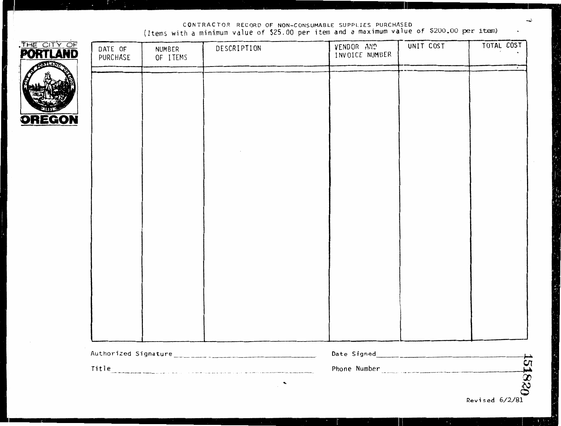CONTRACTOR RECORD OF NON-CONSUMABLE SUPPLIES PURCHASED (Items with a minimum value of \$25.00 per item and a maximum value of \$200.00 per ite.m)

| <b>PORTLAND</b><br><b>SSTLAMP</b> | DATE OF<br>PURCHASE | NUMBER<br>OF ITEMS | DESCRIPTION                                                                                                                                                                                                                    | VENDOR AND<br>INVOICE NUMBER | UNIT COST           | TOTAL COST |
|-----------------------------------|---------------------|--------------------|--------------------------------------------------------------------------------------------------------------------------------------------------------------------------------------------------------------------------------|------------------------------|---------------------|------------|
|                                   |                     |                    |                                                                                                                                                                                                                                |                              |                     |            |
| <b>OREGON</b>                     |                     |                    |                                                                                                                                                                                                                                |                              |                     |            |
|                                   |                     |                    |                                                                                                                                                                                                                                |                              |                     |            |
|                                   |                     |                    |                                                                                                                                                                                                                                |                              |                     |            |
|                                   |                     |                    |                                                                                                                                                                                                                                |                              |                     |            |
|                                   |                     |                    |                                                                                                                                                                                                                                |                              |                     |            |
|                                   |                     |                    |                                                                                                                                                                                                                                |                              |                     |            |
|                                   |                     |                    |                                                                                                                                                                                                                                |                              |                     |            |
|                                   |                     |                    |                                                                                                                                                                                                                                |                              |                     |            |
|                                   |                     |                    |                                                                                                                                                                                                                                |                              |                     |            |
|                                   |                     |                    |                                                                                                                                                                                                                                |                              |                     |            |
|                                   |                     |                    | Title experience of the contract of the contract of the contract of the contract of the contract of the contract of the contract of the contract of the contract of the contract of the contract of the contract of the contra |                              | Phone Number (2002) |            |
|                                   |                     |                    |                                                                                                                                                                                                                                |                              |                     | 151820     |

II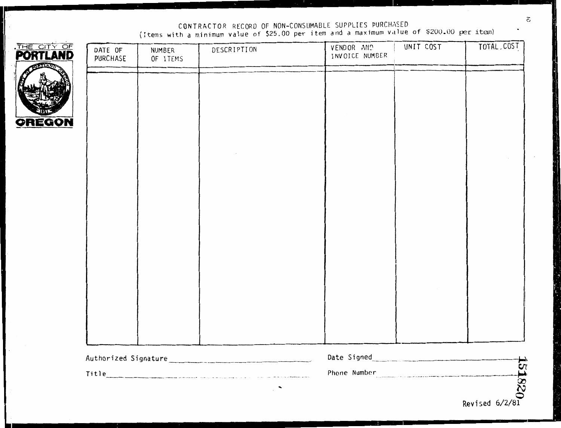CONTRACTOR RECORD OF NON-CONSUMABLE SUPPLIES PURCHASED<br>(Items with a minimum value of \$25.00 per item and a maximum value of \$200.00 per item)

| THE CITY OF<br><b>PORT</b><br><b>ILAND</b> | DATE OF<br>PURCHASE | NUMBER<br>OF ITEMS | DESCRIPTION | VENDOR AND<br>INVOICE NUMBER      | UNIT COST | TOTAL, COST |
|--------------------------------------------|---------------------|--------------------|-------------|-----------------------------------|-----------|-------------|
|                                            |                     |                    |             |                                   |           |             |
| <b>OREGON</b>                              |                     |                    |             |                                   |           |             |
|                                            |                     |                    |             |                                   |           |             |
|                                            |                     |                    |             |                                   |           |             |
|                                            |                     |                    |             |                                   |           |             |
|                                            |                     |                    |             |                                   |           |             |
|                                            |                     |                    |             |                                   |           |             |
|                                            |                     |                    |             |                                   |           |             |
|                                            |                     |                    |             |                                   |           |             |
|                                            |                     |                    |             |                                   |           |             |
|                                            |                     |                    |             | Date Signed<br><u>Late Signed</u> |           |             |
|                                            |                     |                    |             | Phone Number<br>Revised 6/2/81    |           |             |
|                                            |                     |                    |             |                                   |           |             |

 $\tilde{\mathbf{c}}$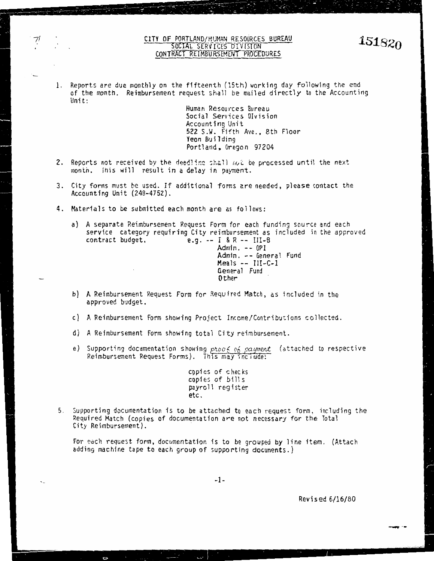#### CITY OF PORTLAND/HUMAN RESOURCES BUREAU SOCIAL SERVICES DIVISION CONTRACT REIMBURSEMENT PROCEDURES

1. Reports are due monthly on the fifteenth (15th) working day following the end of the month. Reimbursement request shall be mailed directly to the Accounting Unit:

Human Resources Bureau Social Services Division Accounting Unit 522 S.W. Fifth Ave., 8th Floor Yeon Building Portland, Oregon 97204

- 2. Reports not received by the deadline shall not be processed until the next month. Ihis will result in a delay in payment.
- 3. City forms must be used. If additional forms are needed, please contact the Accounting Unit (248-4752).
- 4. Materials to be submitted each month are as follows:
	- a) A separate Reimbursement Request Form for each funding source and each service category requiring City reimbursement as included in the approved contract budget,  $e,q = I & R = - III - B$ e.g.  $-$  I & R  $-$  III-B

Admin. - - OPI Admin. -- General Fund Meals -- III-C-1 General Fund **Other** 

- b) A Reimbursement Request Form for Required Match, as included in the approved budget.
- c} **A** Reimbursement Form showing Project lncome/Contributions collected.
- d) A Reimbursement Form showing total City reimbursement.

 $\mathbf{C}$ 

e) Supporting documentation showing ptoo6 of payment (attached to respective Reimbursement Request Forms). This may include:

> cppi es of checks copies of bills payro 11 register **etc.**

5. Supporting documentation is to be attached to each request form, including the Required Match (copies of documentation are not necessary for the Total City Reimbursement).

For each request form, documentation is to be grouped by line item. (Attach adding machine tape to each group of supporting documents.)

-1-

Revised 6/16/80

**151820**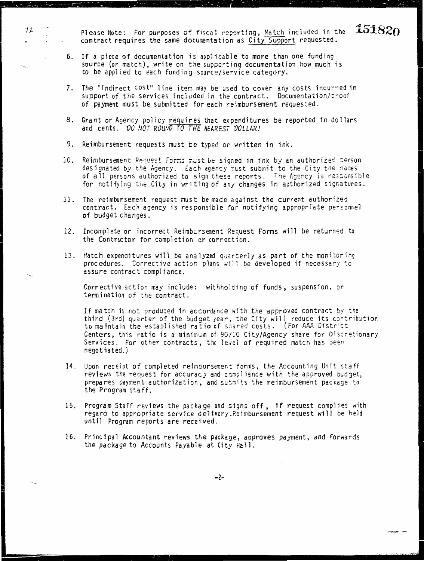Please Note: For purposes of fiscal reporting, Match included in the contract requires the same documentation as City Support requested.

 $451820$ 

- 6. If a piece of documentation is applicable to more than one funding source (or match), write on the supporting documentation how much is to be applied to each funding source/service category.
- 7. The "indirect cost" line item may be used to cover any costs incurred in support of the services included in the contract. Documentation/proof of payment must be submitted for each reimbursement requested.
- 8. Grant or Agency policy requires that expenditures be reported in dollars and cents. VO NOT ROUNV TO THE *NEARESi VOLLAR!*
- 9. Reimbursement requests must be typed or written in ink.

I

72

- 10. Reimbursement Request Forms must be signed in ink by an authorized person designated by the Agency. Each agency must submit to the City the names of all persons authorized to sign these reports. The Agency is responsible for notifying the City in writing of any changes in authorized signatures.
- 11. The reimbursement request must be made against the current authorized contract, Each agency is responsible for notifying appropriate personnel of budget changes.
- 12. Incomplete or incorrect Reimbursement Request Forms will be returned to the Contractor for completion or correction.
- 13. Match expenditures will be analyzed quarterly as part of the monitoring procedures. Corrective action plans will be developed if necessary to assure contract compliance.

Corrective action may include: withholding of funds, suspension, or termination of the contract.

If match is not produced in accordance with the approved contract by the third (3rd) quarter of the budget year, the City will reduce its contribution to maintain the established ratio of shared costs. (For AAA District Centers, this ratio is a minimum of 90/10 City/Agency share for Discretionary Services. For other contracts, the level of required match has been negotiated.)

- 14. Upon receipt of completed reimbursement forms, the Accounting Unit staff reviews the request for accuracy and compliance with the approved budget, prepares payment authorization, and submits the reimbursement package to the Program staff.
- 15. Program Staff reviews the package and signs off, 1f request complies with regard to appropriate service delivery.Reimbursement request will be held until Program reports are received.
- 16. Principal Accountant reviews the package, approves payment, and forwards the package to Accounts Payable at City Hall.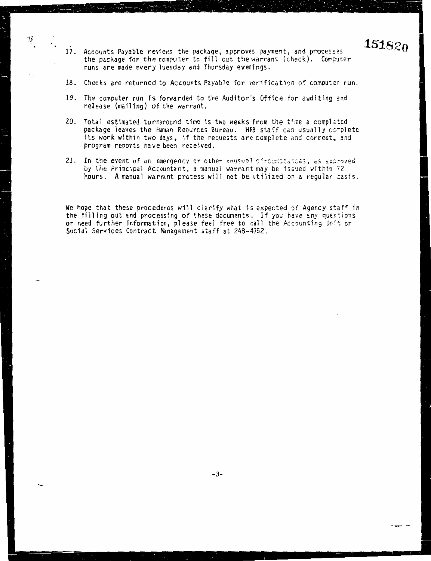17. Accounts Payable reviews the package, approves payment, and processes the package for the computer to fill out the warrant (check). Computer runs are made every Tuesday and Thursday evenings. runs are made every Tuesday and Thursday evenings.

**1518Zo** 

151820

 $\overline{\phantom{a}}$ 

73

- 18. Checks are returned to Accounts Payable for verification of computer run.
- 19. The computer run is forwarded to the Auditor's Office for auditing and release (mailing) of the warrant.
- 20. Total estimated turnaround time is two weeks from the time a completed package leaves the Human Reources Bureau. HRB staff can usually complete its work within two days, if the requests are complete and correct, and program reports have been received. program reports have been received.
- 21. In the event of an emergency or other unusual circumstances, as approved by the Principal Accountant, a manual warrant may be issued within 72 hours. A manual warrant process will not be utilized on a regular basis.

We hope that these procedures will clarify what is expected of Agency staff in the filling out and processing of these documents. If you have any questions or need further information, please feel free to call the Accounting Unit or ial Services Contract Management staff at 248-4752. Social Services Contract Management staff at 248-4752.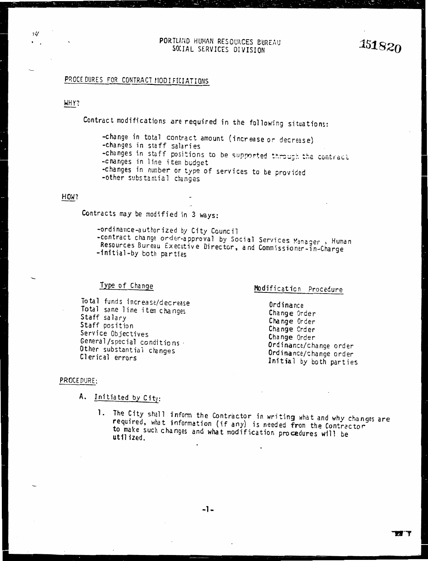#### PORTLAND HUMAN RESOURCES BUREAU SOCIAL SERVICES DUREAU<br>SOCIAL SERVICES DIVISION 151820

## PROCE DURES FOR CONTRACT MODIFICIATIONS

#### WHY?

7l/

Contract modifications are required in the following situations:

-change in total contract amount (increase *or* decrease) -changes in staff salaries -changes in staff positions to be supported through the contract. -cnanges in line item budget -changes in number or type of services to be provided -other substantial changes

#### HOW?

Contracts may be modified in 3 ways:

-ordinance-authorized by City Council -contract change order-approval by Social Services Manager, Human Resources Bureau Executive Director, and Commissioner-in-Charge -initial-by both parties

### Type of Change

Total funds increase/decrease Total same line iten changes Staff salary Staff position Service Objectives General/special conditions· Other substantial changes Clerical errors

### Modification Procedure

Ordinance Change Order Change Order Change Crd er Change Order Ordinance/change order Ordinance/change order Initial by both parties

#### PROCEDURE:

- A. Initiated by City:
	- 1. The City shall inform the Contractor in writing what and why changes are required, what information (if any) is needed from the Contractor to make such changes and what modification procedures will be utilized.

**I**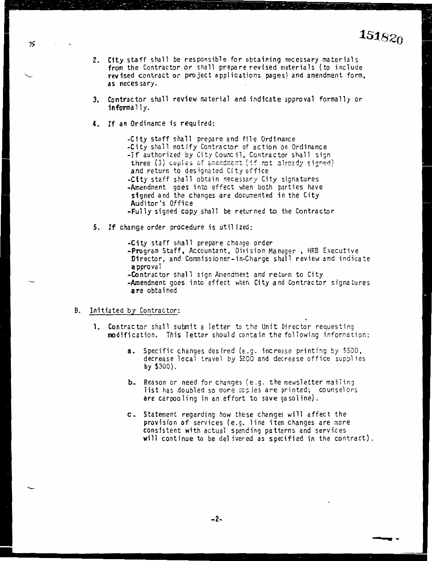..........

- 2. City staff shall be responsible for obtaining necessary materials from the Contractor or shall prepare revised materials (to include revised contract or project applications pages) and amendment form, **as** necessary.
- 3. Contractor shall review material and indicate approval formally or **1nforma** 11 y.
- **4. If an** Ordinance is required:

-City staff shall prepare and file Ordinance -City shall notify Contractor of action on Ordinance -1f authorized by City Council, Contractor shall sign three (3) copies of amendment (if not already signed) and return to designated City office -City staff shall obtain necessary City signatures -Amendment goes into effect when both parties have signed and the changes are documented in the City Auditor's Office -Fully signed copy shall be returned to the Contractor

5. If change order procedure is utilized:

-City staff shall prepare change order -Program Staff, Accountant, Division Manager , HRB Executive Director, and Commissioner-in-Charge shall review and indicate **a** pprova 1 -Contractor shall sign Amendment and return to City

-Amendment goes into effect when City and Contractor signatures **a re** obtained

#### B. Initiated by Contractor:

- **1.** Contractor shall submit a letter to the Unit Director requesting modification. This letter should contain the following information:
	- a. Specific changes desired (e.g. increase printing by \$500, decrease local travel by \$200 and decrease office supplies **by** \$300).
	- **b.** Reason or need for changes (e.g. the newsletter mailing list has doubled so more copies are printed; counselors **are** carpooling in an effort to save gasoline).
	- c .. Statement regarding how these changes will affect the provision of services (e.g. line item changes are more consistent with actual spending patterns and services **will** continue to be delivered as specified in the contract).

 $75$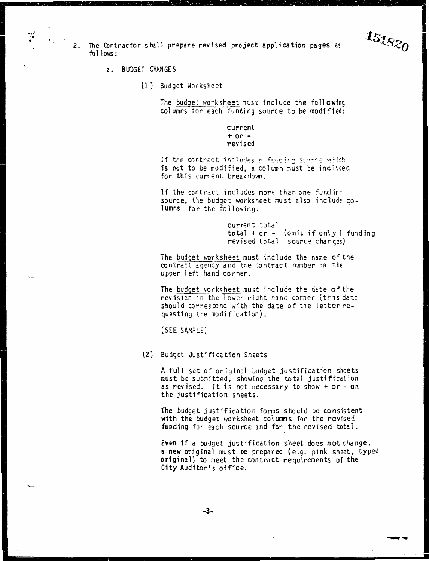2. The Contractor shall prepare revised project application pages as follows:

a. BUDGET CHAN GE S

I

 $76$ 

(1 ) Budget Worksheet

The budget worksheet must include the following columns for each funding source to be modified:

> $current + or$ revised

If the contract includes a funding source which is not to be modified, a column must be included for this current breakdown.

If the contract includes more than one funding source, the budget worksheet must also include columns for the following:

> current total total + or - (omit if only l<br>revised total source changes)  $total + or - (omit if only 1 funding)$

**International** 

 $151820$ 

 $-$ 

The budget worksheet must include the name of the contract agency and the contract number in the upper left hand corner.

The budget worksheet must include the date of the revision in the lower right hand corner (this date should correspond with the date of the letter requesting the modification).

(SEE SAMPLE)

(2) Budget Justification Sheets

A full set of original budget justification sheets must be submitted, showing the total justification as revised. It is not necessary to show+ or - on the justification sheets.

The budget justification forms should be consistent with the budget worksheet columns for the revised funding for each source and for the revised total.

Even if a budget justification sheet does not change, a new original must be prepared (e.g. pink sheet, typed original) to meet the contract requirements of the **City** Auditor's office.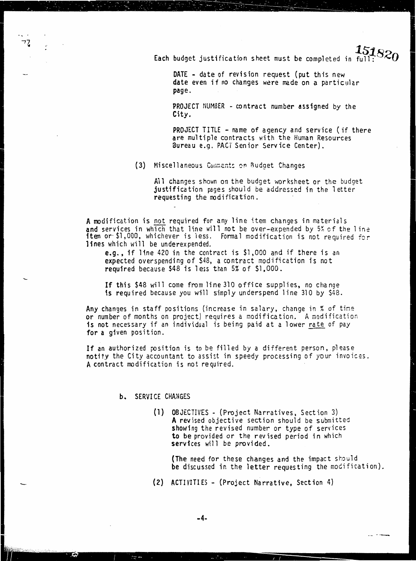Each budget justification sheet must be completed in ful

DATE - date of revision request (put this new date even if no changes were made on a particular page.

PROJECT NUMBER - contract number assigned by the City.

**PROJECT TITLE - name of agency and service (if there** are multiple contracts with the Human Resources Bureau e.g. PACT Senior Service Center).

(3) Miscellaneous Comments on Budget Changes

All changes shown on the budget worksheet or the budget justification pages should be addressed in the letter requesting the modification.

A modification is not required for any line item changes in materials and services in which that line will not be over-expended by 5% of the line<br>item or \$1,000, whichever is less. Formal modification is not required for lines which will be underexpended.

e.g., if line 420 in the contract is \$1,000 and if there is an expected overspending of \$48, a contract modification is not required because \$48 is less than 5% of \$1,000.

If this \$48 will come from line 310 office supplies, no change is required because you will simply underspend line 310 by \$48.

Any changes in staff positions (increase in salary, change in % of time or number of months on project) requires a modification. A modification is not necessary if an individual is being paid at a lower rate of pay for a given position.

If an authorized position is to be filled by a different person, please notity the City accountant to assist in speedy processing of your invoices. A contract modification is not required.

#### **b.** SERVICE CHANGES

(1) OBJECTIVES - (Project Narratives, Section 3) A revised objective section should be submitted showing the revised number or type of services to be provided or the revised period in which services will be provided.

(The need for these changes and the impact should be discussed in the letter requesting the modification).

(2) ACTIVITIES - (Project Narrative, Section 4)

 $-4-$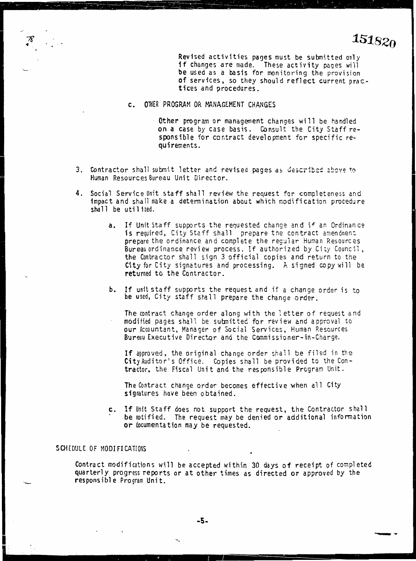Revised activities pages must be subnitted only **if** changes are made. These activity pages will be used as a basis for monitoring the provision of services, so they should reflect current prac**t** ices and procedures.

- c. OTHER PROGRAM OR MANAGEMENT CHANGES
	- Other program or management changes will be handled on a case by case basis. Consult the City Staff responsible for contract development for specific requirements.
- 3. Contractor shall submit letter and revised pages as described above to Human Resources Bureau Unit Director.
- **4.** Social Service Unit staff shall review the request for completeness and impact and shall make a determination about which modification procedure shall be utilized.
	- a. If Unit Staff supports the requested change and if an Ordinance is required, City Staff shall prepare the contract amendment prepare the ordinance and complete the regular Human Resources Bureau ordinance review process. If authorized by City Council, **the** Contractor shall sign 3 official copies and return to the **City** for City signatures and processing. A signed copy wil1 be **returned to the** Contractor.
	- **b.** If unit staff supports the request and if a change order is to **be** used, City staff sha11 prepare the change order.

The contract change order along with the 1etter of request and modified pages shall be submitted for review and approval to **our** Accountant, Manager of Social Services, Human Resources Bureau Executive Director and the Commissioner-in-Charge.

**If** approved, the original change order sha11 be filed in the **City** Auditor's Office. Copies shall be provided to the Contractor, the Fiscal Unit and the responsible Program Unit.

The Contract change order becomes effective when all City signatures have been obtained.

c. If Unit Staff does not support the request, the Contractor shall . be notified. The request may be denied or additional information **or** documentation may be requested.

#### SCHEDULE OF MODIFICATIONS

I

Contract modifications will be accepted within 30 days of receipt of completed quarterly progress reports or at other times as directed or approved by the responsible Program Unit.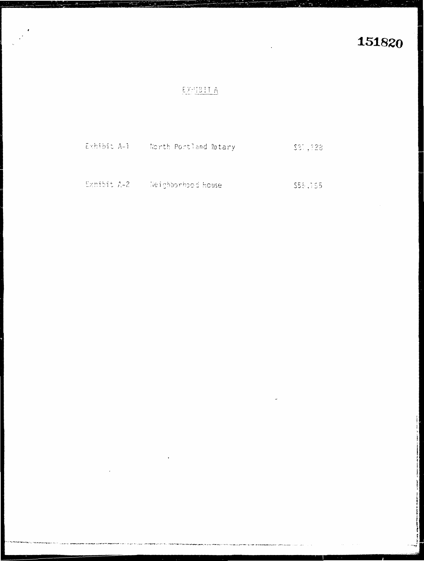# EXMBITA

| Exhibit A-1 |  | North Portland Rotary | \$81,928 |
|-------------|--|-----------------------|----------|
|             |  |                       |          |
|             |  |                       |          |

Exhibit A-2 Weighborhood House \$55,165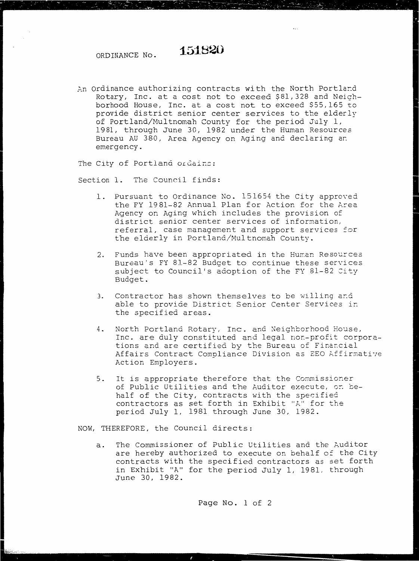# ORDINANCE No. **1-51820**

An Ordinance authorizing contracts with the North Portland Rotary, Inc. at a cost not to exceed \$81,328 and Neighborhood House, Inc. at a cost not to exceed \$55,165 to provide district senior center services to the elderly of Portland/Multnomah County for the period July 1, 1981, through June 30, 1982 under the Human Resources Bureau AU 380, Area Agency on Aging and declaring ar. emergency.

The City of Portland ordains:

Section 1. The Council finds:

1. Pursuant to Ordinance No. 151654 the City approved the FY 1981-82 Annual Plan for Action for the Area Agency on Aging which includes the provision of district senior center services of information, referral, case management and support services for the elderly in Portland/Multnomah County.

I

I experience

- 2. Funds have been appropriated in the Human Resources Bureau's FY 81-82 Budget to continue these services subject to Council's adoption of the FY 81-82 City Budget.
- 3. Contractor has shown themselves to be willing ar.d able to provide District Senior Center Services ir. the specified areas.
- 4. North Portland Rotary, Inc. and Neighborhood House, Inc. are duly constituted and legal non-profit corporations and are certified by the Bureau of Financial Affairs Contract Compliance Division as EEO Affirmative Action Employers.
- 5. It is appropriate therefore that the Commissioner of Public Utilities and the Auditor execute, on behalf of the City, contracts with the specified contractors as set forth in Exhibit "A" for the period July 1, 1981 through June 30, 1982.

NOW, THEREFORE, the Council directs:

a. The Commissioner of Public Utilities and the Auditor are hereby authorized to execute on behalf of the City contracts with the specified contractors as set forth in Exhibit "A" for the period July 1, 1981, through June 30, 1982.

Page No. 1 of 2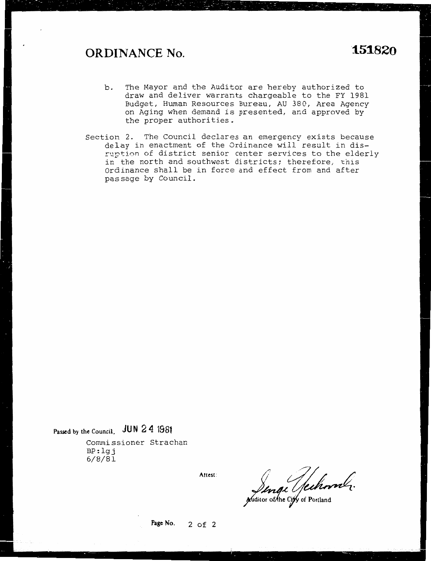# **ORDINANCE No. "151820**

- b. The Mayor and the Auditor are hereby authorized to draw and deliver warrants chargeable to the FY 1981 Budget, Human Resources Bureau, AU 380, Area Agency on Aging when demand is presented, and approved by the proper authorities.
- Section 2. The Council declares an emergency exists because delay in enactment of the Ordinance will result in disruption of district senior center services to the elderly in the north and southwest districts; therefore, this Ordinance shall be in force and effect from and after passage by Council.

# **Passed by the Council, JUN 2 4 1981**

Commissioner Strachan BP: lgj 6/8/Bl

**Attest:** 

Linge Sechoonl.

**Page No. 2 of 2**